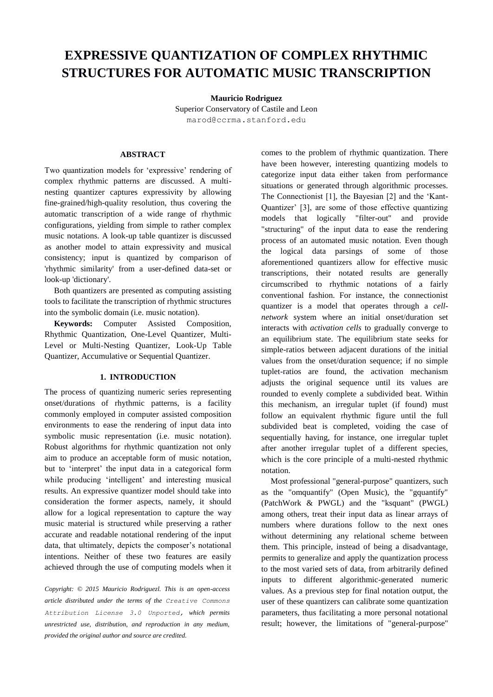# **EXPRESSIVE QUANTIZATION OF COMPLEX RHYTHMIC STRUCTURES FOR AUTOMATIC MUSIC TRANSCRIPTION**

**Mauricio Rodriguez** Superior Conservatory of Castile and Leon

marod@ccrma.stanford.edu

# **ABSTRACT**

Two quantization models for 'expressive' rendering of complex rhythmic patterns are discussed. A multinesting quantizer captures expressivity by allowing fine-grained/high-quality resolution, thus covering the automatic transcription of a wide range of rhythmic configurations, yielding from simple to rather complex music notations. A look-up table quantizer is discussed as another model to attain expressivity and musical consistency; input is quantized by comparison of 'rhythmic similarity' from a user-defined data-set or look-up 'dictionary'.

Both quantizers are presented as computing assisting tools to facilitate the transcription of rhythmic structures into the symbolic domain (i.e. music notation).

**Keywords:** Computer Assisted Composition, Rhythmic Quantization, One-Level Quantizer, Multi-Level or Multi-Nesting Quantizer, Look-Up Table Quantizer, Accumulative or Sequential Quantizer.

# **1. INTRODUCTION**

The process of quantizing numeric series representing onset/durations of rhythmic patterns, is a facility commonly employed in computer assisted composition environments to ease the rendering of input data into symbolic music representation (i.e. music notation). Robust algorithms for rhythmic quantization not only aim to produce an acceptable form of music notation, but to 'interpret' the input data in a categorical form while producing 'intelligent' and interesting musical results. An expressive quantizer model should take into consideration the former aspects, namely, it should allow for a logical representation to capture the way music material is structured while preserving a rather accurate and readable notational rendering of the input data, that ultimately, depicts the composer's notational intentions. Neither of these two features are easily achieved through the use of computing models when it

*Copyright: © 2015 Mauricio Rodriguezl. This is an open-access article distributed under the terms of the [Creative Commons](http://creativecommons.org/licenses/by/3.0/)  [Attribution License 3.0 Unported,](http://creativecommons.org/licenses/by/3.0/) which permits unrestricted use, distribution, and reproduction in any medium, provided the original author and source are credited.*

comes to the problem of rhythmic quantization. There have been however, interesting quantizing models to categorize input data either taken from performance situations or generated through algorithmic processes. The Connectionist [1], the Bayesian [2] and the 'Kant-Quantizer' [3], are some of those effective quantizing models that logically "filter-out" and provide "structuring" of the input data to ease the rendering process of an automated music notation. Even though the logical data parsings of some of those aforementioned quantizers allow for effective music transcriptions, their notated results are generally circumscribed to rhythmic notations of a fairly conventional fashion. For instance, the connectionist quantizer is a model that operates through a *cellnetwork* system where an initial onset/duration set interacts with *activation cells* to gradually converge to an equilibrium state. The equilibrium state seeks for simple-ratios between adjacent durations of the initial values from the onset/duration sequence; if no simple tuplet-ratios are found, the activation mechanism adjusts the original sequence until its values are rounded to evenly complete a subdivided beat. Within this mechanism, an irregular tuplet (if found) must follow an equivalent rhythmic figure until the full subdivided beat is completed, voiding the case of sequentially having, for instance, one irregular tuplet after another irregular tuplet of a different species, which is the core principle of a multi-nested rhythmic notation.

Most professional "general-purpose" quantizers, such as the "omquantify" (Open Music), the "gquantify" (PatchWork & PWGL) and the "ksquant" (PWGL) among others, treat their input data as linear arrays of numbers where durations follow to the next ones without determining any relational scheme between them. This principle, instead of being a disadvantage, permits to generalize and apply the quantization process to the most varied sets of data, from arbitrarily defined inputs to different algorithmic-generated numeric values. As a previous step for final notation output, the user of these quantizers can calibrate some quantization parameters, thus facilitating a more personal notational result; however, the limitations of "general-purpose"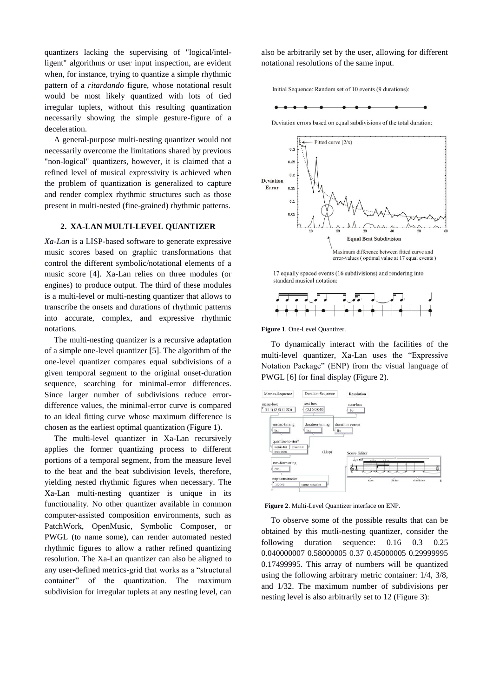quantizers lacking the supervising of "logical/intelligent" algorithms or user input inspection, are evident when, for instance, trying to quantize a simple rhythmic pattern of a *ritardando* figure, whose notational result would be most likely quantized with lots of tied irregular tuplets, without this resulting quantization necessarily showing the simple gesture-figure of a deceleration.

A general-purpose multi-nesting quantizer would not necessarily overcome the limitations shared by previous "non-logical" quantizers, however, it is claimed that a refined level of musical expressivity is achieved when the problem of quantization is generalized to capture and render complex rhythmic structures such as those present in multi-nested (fine-grained) rhythmic patterns.

## **2. XA-LAN MULTI-LEVEL QUANTIZER**

*Xa-Lan* is a LISP-based software to generate expressive music scores based on graphic transformations that control the different symbolic/notational elements of a music score [4]. Xa-Lan relies on three modules (or engines) to produce output. The third of these modules is a multi-level or multi-nesting quantizer that allows to transcribe the onsets and durations of rhythmic patterns into accurate, complex, and expressive rhythmic notations.

The multi-nesting quantizer is a recursive adaptation of a simple one-level quantizer [5]. The algorithm of the one-level quantizer compares equal subdivisions of a given temporal segment to the original onset-duration sequence, searching for minimal-error differences. Since larger number of subdivisions reduce errordifference values, the minimal-error curve is compared to an ideal fitting curve whose maximum difference is chosen as the earliest optimal quantization (Figure 1).

The multi-level quantizer in Xa-Lan recursively applies the former quantizing process to different portions of a temporal segment, from the measure level to the beat and the beat subdivision levels, therefore, yielding nested rhythmic figures when necessary. The Xa-Lan multi-nesting quantizer is unique in its functionality. No other quantizer available in common computer-assisted composition environments, such as PatchWork, OpenMusic, Symbolic Composer, or PWGL (to name some), can render automated nested rhythmic figures to allow a rather refined quantizing resolution. The Xa-Lan quantizer can also be aligned to any user-defined metrics-grid that works as a "structural container" of the quantization. The maximum subdivision for irregular tuplets at any nesting level, can

also be arbitrarily set by the user, allowing for different notational resolutions of the same input.

Initial Sequence: Random set of 10 events (9 durations):



Deviation errors based on equal subdivisions of the total duration:



17 equally spaced events (16 subdivisions) and rendering into standard musical notation:



**Figure 1**. One-Level Quantizer.

To dynamically interact with the facilities of the multi-level quantizer, Xa-Lan uses the "Expressive Notation Package" (ENP) from the visual language of PWGL [6] for final display (Figure 2).



**Figure 2**. Multi-Level Quantizer interface on ENP.

To observe some of the possible results that can be obtained by this mutli-nesting quantizer, consider the following duration sequence: 0.16 0.3 0.25 0.040000007 0.58000005 0.37 0.45000005 0.29999995 0.17499995. This array of numbers will be quantized using the following arbitrary metric container: 1/4, 3/8, and 1/32. The maximum number of subdivisions per nesting level is also arbitrarily set to 12 (Figure 3):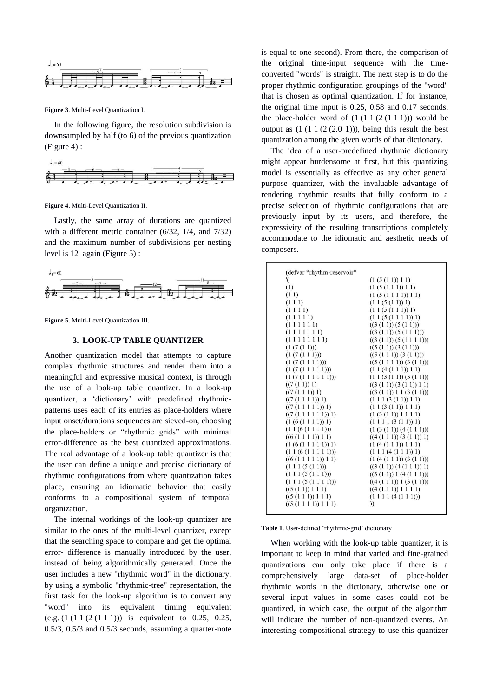

**Figure 3**. Multi-Level Quantization I.

In the following figure, the resolution subdivision is downsampled by half (to 6) of the previous quantization (Figure 4) :



**Figure 4**. Multi-Level Quantization II.

Lastly, the same array of durations are quantized with a different metric container (6/32, 1/4, and 7/32) and the maximum number of subdivisions per nesting level is 12 again (Figure 5) :



**Figure 5**. Multi-Level Quantization III.

#### **3. LOOK-UP TABLE QUANTIZER**

Another quantization model that attempts to capture complex rhythmic structures and render them into a meaningful and expressive musical context, is through the use of a look-up table quantizer. In a look-up quantizer, a 'dictionary' with predefined rhythmicpatterns uses each of its entries as place-holders where input onset/durations sequences are sieved-on, choosing the place-holders or "rhythmic grids" with minimal error-difference as the best quantized approximations. The real advantage of a look-up table quantizer is that the user can define a unique and precise dictionary of rhythmic configurations from where quantization takes place, ensuring an idiomatic behavior that easily conforms to a compositional system of temporal organization.

The internal workings of the look-up quantizer are similar to the ones of the multi-level quantizer, except that the searching space to compare and get the optimal error- difference is manually introduced by the user, instead of being algorithmically generated. Once the user includes a new "rhythmic word" in the dictionary, by using a symbolic "rhythmic-tree" representation, the first task for the look-up algorithm is to convert any "word" into its equivalent timing equivalent (e.g. (1 (1 1 (2 (1 1 1))) is equivalent to 0.25, 0.25, 0.5/3, 0.5/3 and 0.5/3 seconds, assuming a quarter-note

is equal to one second). From there, the comparison of the original time-input sequence with the timeconverted "words" is straight. The next step is to do the proper rhythmic configuration groupings of the "word" that is chosen as optimal quantization. If for instance, the original time input is 0.25, 0.58 and 0.17 seconds, the place-holder word of  $(1 (1 1 (2 (1 1 1)))$  would be output as  $(1 (1 1 (2 (2.0 1)))$ , being this result the best quantization among the given words of that dictionary.

The idea of a user-predefined rhythmic dictionary might appear burdensome at first, but this quantizing model is essentially as effective as any other general purpose quantizer, with the invaluable advantage of rendering rhythmic results that fully conform to a precise selection of rhythmic configurations that are previously input by its users, and therefore, the expressivity of the resulting transcriptions completely accommodate to the idiomatic and aesthetic needs of composers.

| (defvar *rhythm-reservoir*      |                                |
|---------------------------------|--------------------------------|
| '(                              | (1(5(11))11)                   |
| (1)                             | (1(5(111))11)                  |
| (11)                            | (1 (5 (1 1 1 1)) 1 1)          |
| (111)                           | (11(5(11))1)                   |
| (1111)                          | (11(5(111))1)                  |
| (11111)                         | (11(5(1111))1)                 |
| (111111)                        | ((3 (1 1)) (5 (1 1)))          |
| (111111)                        | ((3 (1 1)) (5 (1 1 1)))        |
| $(1\;1\;1\;1\;1\;1\;1)$         | ((3 (1 1)) (5 (1 1 1 1)))      |
| (1 (7 (1 1)))                   | ((5 (1 1)) (3 (1 1)))          |
| (1 (7 (1 1 1)))                 | ((5 (1 1 1)) (3 (1 1)))        |
| (1 (7 (1 1 1 1)))               | ((5 (1 1 1 1)) (3 (1 1)))      |
| (1 (7 (1 1 1 1 1)))             | (11(4(111))11)                 |
| (1 (7 (1 1 1 1 1 1)))           | (1 1 (3 (1 1)) (3 (1 1)))      |
| ((7(11))1)                      | ((3 (1 1)) (3 (1 1)) 1 1)      |
| ((7(111))1)                     | ((3 (1 1)) 1 1 (3 (1 1)))      |
| ((7(1111))1)                    | $(1\ 1\ 1\ (3\ (1\ 1))\ 1\ 1)$ |
| ((7(11111))1)                   | (11(3(11))111)                 |
| ((7(111111))1)                  | (1 (3 (1 1)) 1 1 1 1)          |
| (1(6(1111))1)                   | $(1\ 1\ 1\ 1\ (3\ (1\ 1))\ 1)$ |
| (11(6(1111)))                   | (1 (3 (1 1)) (4 (1 1 1)))      |
| ((6 (1 1 1 1)) 1 1)             | ((4 (1 1 1)) (3 (1 1)) 1)      |
| (1(6(11111))1)                  | (1(4(111))111)                 |
| (11(6(11111)))                  | (111(4(111))1)                 |
| $((6(1\ 1\ 1\ 1\ 1))\ 1\ 1)$    | (1 (4 (1 1 1)) (3 (1 1)))      |
| $(1\ 1\ 1\ (5\ (1\ 1)))$        | ((3 (1 1)) (4 (1 1 1)) 1)      |
| $(1\ 1\ 1\ (5\ (1\ 1\ 1)))$     | ((3 (1 1)) 1 (4 (1 1 1)))      |
| $(1\ 1\ 1\ (5\ (1\ 1\ 1\ 1))))$ | ((4 (1 1 1)) 1 (3 (1 1)))      |
| ((5(11))111)                    | ((4(111))1111)                 |
| ((5 (1 1 1)) 1 1 1)             | $(1\ 1\ 1\ 1\ (4\ (1\ 1\ 1)))$ |
| ((5(1111))111)                  | )                              |
|                                 |                                |

**Table 1**. User-defined 'rhythmic-grid' dictionary

When working with the look-up table quantizer, it is important to keep in mind that varied and fine-grained quantizations can only take place if there is a comprehensively large data-set of place-holder rhythmic words in the dictionary, otherwise one or several input values in some cases could not be quantized, in which case, the output of the algorithm will indicate the number of non-quantized events. An interesting compositional strategy to use this quantizer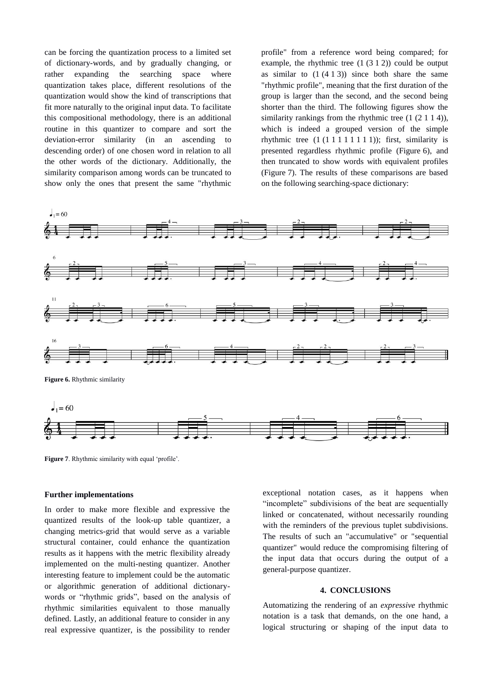can be forcing the quantization process to a limited set of dictionary-words, and by gradually changing, or rather expanding the searching space where quantization takes place, different resolutions of the quantization would show the kind of transcriptions that fit more naturally to the original input data. To facilitate this compositional methodology, there is an additional routine in this quantizer to compare and sort the deviation-error similarity (in an ascending to descending order) of one chosen word in relation to all the other words of the dictionary. Additionally, the similarity comparison among words can be truncated to show only the ones that present the same "rhythmic

profile" from a reference word being compared; for example, the rhythmic tree  $(1 (3 1 2))$  could be output as similar to  $(1 (4 1 3))$  since both share the same "rhythmic profile", meaning that the first duration of the group is larger than the second, and the second being shorter than the third. The following figures show the similarity rankings from the rhythmic tree  $(1 (2 1 1 4))$ , which is indeed a grouped version of the simple rhythmic tree  $(1 (1 1 1 1 1 1 1 1))$ ; first, similarity is presented regardless rhythmic profile (Figure 6), and then truncated to show words with equivalent profiles (Figure 7). The results of these comparisons are based on the following searching-space dictionary:



**Figure 7**. Rhythmic similarity with equal 'profile'.

### **Further implementations**

In order to make more flexible and expressive the quantized results of the look-up table quantizer, a changing metrics-grid that would serve as a variable structural container, could enhance the quantization results as it happens with the metric flexibility already implemented on the multi-nesting quantizer. Another interesting feature to implement could be the automatic or algorithmic generation of additional dictionarywords or "rhythmic grids", based on the analysis of rhythmic similarities equivalent to those manually defined. Lastly, an additional feature to consider in any real expressive quantizer, is the possibility to render

exceptional notation cases, as it happens when "incomplete" subdivisions of the beat are sequentially linked or concatenated, without necessarily rounding with the reminders of the previous tuplet subdivisions. The results of such an "accumulative" or "sequential quantizer" would reduce the compromising filtering of the input data that occurs during the output of a general-purpose quantizer.

## **4. CONCLUSIONS**

Automatizing the rendering of an *expressive* rhythmic notation is a task that demands, on the one hand, a logical structuring or shaping of the input data to